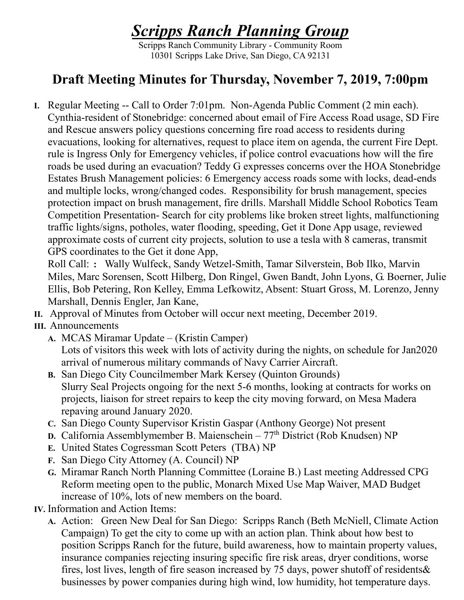## *Scripps Ranch Planning Group*

Scripps Ranch Community Library - Community Room 10301 Scripps Lake Drive, San Diego, CA 92131

## **Draft Meeting Minutes for Thursday, November 7, 2019, 7:00pm**

**I.** Regular Meeting -- Call to Order 7:01pm. Non-Agenda Public Comment (2 min each). Cynthia-resident of Stonebridge: concerned about email of Fire Access Road usage, SD Fire and Rescue answers policy questions concerning fire road access to residents during evacuations, looking for alternatives, request to place item on agenda, the current Fire Dept. rule is Ingress Only for Emergency vehicles, if police control evacuations how will the fire roads be used during an evacuation? Teddy G expresses concerns over the HOA Stonebridge Estates Brush Management policies: 6 Emergency access roads some with locks, dead-ends and multiple locks, wrong/changed codes. Responsibility for brush management, species protection impact on brush management, fire drills. Marshall Middle School Robotics Team Competition Presentation- Search for city problems like broken street lights, malfunctioning traffic lights/signs, potholes, water flooding, speeding, Get it Done App usage, reviewed approximate costs of current city projects, solution to use a tesla with 8 cameras, transmit GPS coordinates to the Get it done App,

Roll Call: : Wally Wulfeck, Sandy Wetzel-Smith, Tamar Silverstein, Bob Ilko, Marvin Miles, Marc Sorensen, Scott Hilberg, Don Ringel, Gwen Bandt, John Lyons, G. Boerner, Julie Ellis, Bob Petering, Ron Kelley, Emma Lefkowitz, Absent: Stuart Gross, M. Lorenzo, Jenny Marshall, Dennis Engler, Jan Kane,

- **II.** Approval of Minutes from October will occur next meeting, December 2019.
- **III.** Announcements
	- **A.** MCAS Miramar Update (Kristin Camper) Lots of visitors this week with lots of activity during the nights, on schedule for Jan2020 arrival of numerous military commands of Navy Carrier Aircraft.
	- **B.** San Diego City Councilmember Mark Kersey (Quinton Grounds) Slurry Seal Projects ongoing for the next 5-6 months, looking at contracts for works on projects, liaison for street repairs to keep the city moving forward, on Mesa Madera repaving around January 2020.
	- **C.** San Diego County Supervisor Kristin Gaspar (Anthony George) Not present
	- **D.** California Assemblymember B. Maienschein 77<sup>th</sup> District (Rob Knudsen) NP
	- **E.** United States Cogressman Scott Peters (TBA) NP
	- **F.** San Diego City Attorney (A. Council) NP
	- **G.** Miramar Ranch North Planning Committee (Loraine B.) Last meeting Addressed CPG Reform meeting open to the public, Monarch Mixed Use Map Waiver, MAD Budget increase of 10%, lots of new members on the board.
- **IV.** Information and Action Items:
	- **A.** Action: Green New Deal for San Diego: Scripps Ranch (Beth McNiell, Climate Action Campaign) To get the city to come up with an action plan. Think about how best to position Scripps Ranch for the future, build awareness, how to maintain property values, insurance companies rejecting insuring specific fire risk areas, dryer conditions, worse fires, lost lives, length of fire season increased by 75 days, power shutoff of residents& businesses by power companies during high wind, low humidity, hot temperature days.